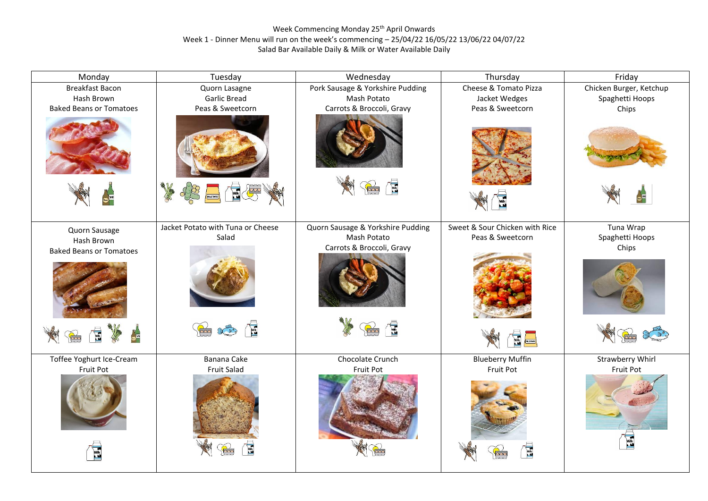## Week Commencing Monday 25<sup>th</sup> April Onwards Week 1 - Dinner Menu will run on the week's commencing – 25/04/22 16/05/22 13/06/22 04/07/22 Salad Bar Available Daily & Milk or Water Available Daily

| Monday                         | Tuesday                                                                                                                                                                                                                                                                                                                                                                                 | Wednesday                         | Thursday                           | Friday                  |
|--------------------------------|-----------------------------------------------------------------------------------------------------------------------------------------------------------------------------------------------------------------------------------------------------------------------------------------------------------------------------------------------------------------------------------------|-----------------------------------|------------------------------------|-------------------------|
| <b>Breakfast Bacon</b>         | Quorn Lasagne                                                                                                                                                                                                                                                                                                                                                                           | Pork Sausage & Yorkshire Pudding  | Cheese & Tomato Pizza              | Chicken Burger, Ketchup |
| Hash Brown                     | <b>Garlic Bread</b>                                                                                                                                                                                                                                                                                                                                                                     | Mash Potato                       | Jacket Wedges                      | Spaghetti Hoops         |
| <b>Baked Beans or Tomatoes</b> | Peas & Sweetcorn                                                                                                                                                                                                                                                                                                                                                                        | Carrots & Broccoli, Gravy         | Peas & Sweetcorn                   | Chips                   |
|                                |                                                                                                                                                                                                                                                                                                                                                                                         |                                   |                                    |                         |
| $\bullet^{\mathbb{Z}}$         | 国金<br>X<br><b>AULSTARD</b>                                                                                                                                                                                                                                                                                                                                                              | É<br>B                            |                                    |                         |
| Quorn Sausage                  | Jacket Potato with Tuna or Cheese                                                                                                                                                                                                                                                                                                                                                       | Quorn Sausage & Yorkshire Pudding | Sweet & Sour Chicken with Rice     | Tuna Wrap               |
| Hash Brown                     | Salad                                                                                                                                                                                                                                                                                                                                                                                   | Mash Potato                       | Peas & Sweetcorn                   | Spaghetti Hoops         |
| <b>Baked Beans or Tomatoes</b> |                                                                                                                                                                                                                                                                                                                                                                                         | Carrots & Broccoli, Gravy         |                                    | Chips                   |
|                                |                                                                                                                                                                                                                                                                                                                                                                                         |                                   |                                    |                         |
|                                | $\mathbf{E}$<br>$\widetilde{\mathbb{R}}$<br>$\begin{picture}(120,115) \put(0,0){\line(1,0){155}} \put(15,0){\line(1,0){155}} \put(15,0){\line(1,0){155}} \put(15,0){\line(1,0){155}} \put(15,0){\line(1,0){155}} \put(15,0){\line(1,0){155}} \put(15,0){\line(1,0){155}} \put(15,0){\line(1,0){155}} \put(15,0){\line(1,0){155}} \put(15,0){\line(1,0){155}} \put(15,0){\line(1,0){155$ | Ġ<br>$\sum_{i=1}^{n}$             | MIK MUSICARD                       |                         |
| Toffee Yoghurt Ice-Cream       | Banana Cake                                                                                                                                                                                                                                                                                                                                                                             | Chocolate Crunch                  | <b>Blueberry Muffin</b>            | <b>Strawberry Whirl</b> |
| Fruit Pot                      | <b>Fruit Salad</b>                                                                                                                                                                                                                                                                                                                                                                      | Fruit Pot                         | Fruit Pot                          | Fruit Pot               |
|                                |                                                                                                                                                                                                                                                                                                                                                                                         |                                   |                                    |                         |
| Mik                            | E                                                                                                                                                                                                                                                                                                                                                                                       |                                   | $\frac{1}{\sqrt{2}}$<br>$\sqrt{2}$ |                         |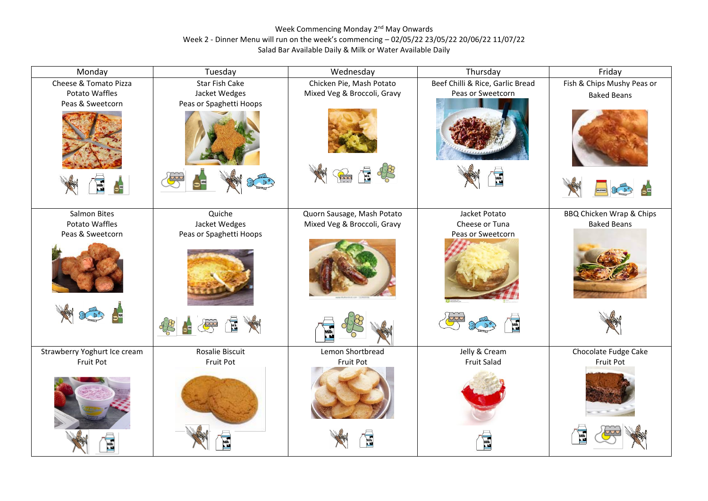## Week Commencing Monday 2<sup>nd</sup> May Onwards Week 2 - Dinner Menu will run on the week's commencing – 02/05/22 23/05/22 20/06/22 11/07/22 Salad Bar Available Daily & Milk or Water Available Daily

| Monday                       | Tuesday                 | Wednesday                   | Thursday                         | Friday                     |
|------------------------------|-------------------------|-----------------------------|----------------------------------|----------------------------|
| Cheese & Tomato Pizza        | Star Fish Cake          | Chicken Pie, Mash Potato    | Beef Chilli & Rice, Garlic Bread | Fish & Chips Mushy Peas or |
| Potato Waffles               | Jacket Wedges           | Mixed Veg & Broccoli, Gravy | Peas or Sweetcorn                | <b>Baked Beans</b>         |
| Peas & Sweetcorn             | Peas or Spaghetti Hoops |                             |                                  |                            |
| 65                           | the                     | B                           | Mik<br>M                         |                            |
| Salmon Bites                 | Quiche                  | Quorn Sausage, Mash Potato  | Jacket Potato                    | BBQ Chicken Wrap & Chips   |
| Potato Waffles               | Jacket Wedges           | Mixed Veg & Broccoli, Gravy | Cheese or Tuna                   | <b>Baked Beans</b>         |
| Peas & Sweetcorn             | Peas or Spaghetti Hoops |                             | Peas or Sweetcorn                |                            |
|                              |                         |                             |                                  |                            |
| $\bullet$                    | É<br>☀                  |                             |                                  |                            |
| Strawberry Yoghurt Ice cream | <b>Rosalie Biscuit</b>  | Lemon Shortbread            | Jelly & Cream                    | Chocolate Fudge Cake       |
| Fruit Pot                    | Fruit Pot               | Fruit Pot                   | <b>Fruit Salad</b>               | Fruit Pot                  |
|                              |                         |                             |                                  | Milk                       |
|                              |                         | Milk<br>Lid                 |                                  |                            |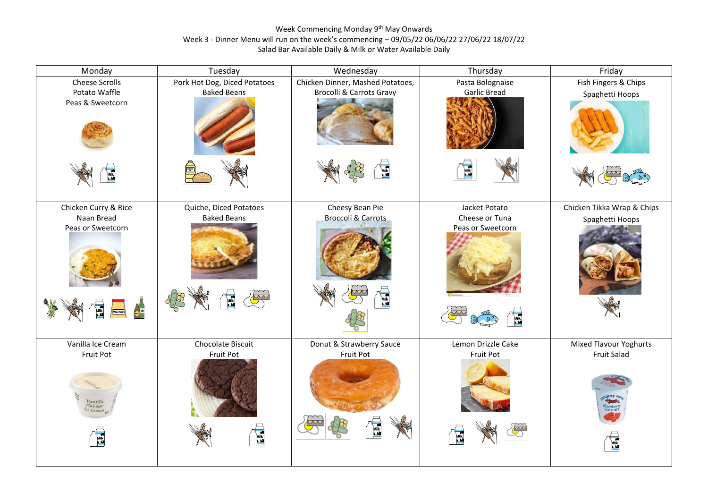## Week Commencing Monday 9<sup>th</sup> May Onwards Week 3 - Dinner Menu will run on the week's commencing – 09/05/22 06/06/22 27/06/22 18/07/22 Salad Bar Available Daily & Milk or Water Available Daily

| Monday                                                                                                     | Tuesday                                                      | Wednesday                                                                    | Thursday                                                                                          | Friday                                             |
|------------------------------------------------------------------------------------------------------------|--------------------------------------------------------------|------------------------------------------------------------------------------|---------------------------------------------------------------------------------------------------|----------------------------------------------------|
| Cheese Scrolls<br>Potato Waffle<br>Peas & Sweetcorn                                                        | Pork Hot Dog, Diced Potatoes<br><b>Baked Beans</b>           | Chicken Dinner, Mashed Potatoes,<br><b>Brocolli &amp; Carrots Gravy</b><br>E | Pasta Bolognaise<br><b>Garlic Bread</b><br>圖                                                      | Fish Fingers & Chips<br>Spaghetti Hoops            |
| Chicken Curry & Rice<br>Naan Bread<br>Peas or Sweetcorn<br>$\frac{1}{2}$<br>wilk<br>Lid<br><b>AULSTARD</b> | Quiche, Diced Potatoes<br><b>Baked Beans</b><br>nik.<br>List | Cheesy Bean Pie<br><b>Broccoli &amp; Carrots</b>                             | Jacket Potato<br>Cheese or Tuna<br>Peas or Sweetcorn<br><sup>Milk</sup>                           | Chicken Tikka Wrap & Chips<br>Spaghetti Hoops      |
| Vanilla Ice Cream<br>Fruit Pot<br>Vanilla<br>Flavour<br>Ice Cream<br>E                                     | Chocolate Biscuit<br>Fruit Pot<br><b>Example</b>             | Donut & Strawberry Sauce<br>Fruit Pot<br>E                                   | Lemon Drizzle Cake<br>Fruit Pot<br>$\begin{array}{c}\n\hline\n\text{Milk} \\ \hline\n\end{array}$ | Mixed Flavour Yoghurts<br><b>Fruit Salad</b><br>E. |